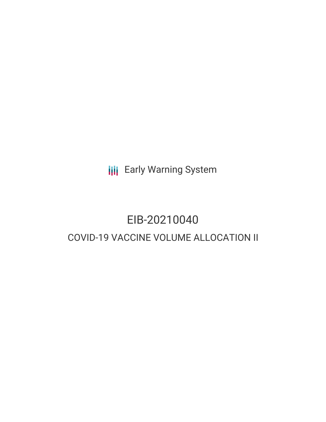**III** Early Warning System

## EIB-20210040 COVID-19 VACCINE VOLUME ALLOCATION II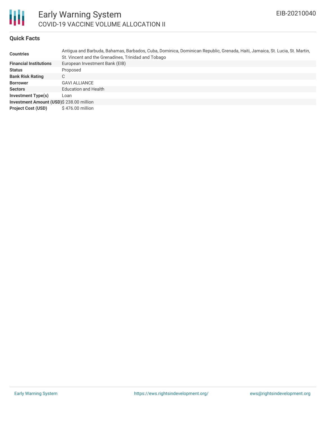

### **Quick Facts**

| <b>Countries</b>                         | Antiqua and Barbuda, Bahamas, Barbados, Cuba, Dominica, Dominican Republic, Grenada, Haiti, Jamaica, St. Lucia, St. Martin,<br>St. Vincent and the Grenadines, Trinidad and Tobago |  |  |  |  |
|------------------------------------------|------------------------------------------------------------------------------------------------------------------------------------------------------------------------------------|--|--|--|--|
| <b>Financial Institutions</b>            | European Investment Bank (EIB)                                                                                                                                                     |  |  |  |  |
| <b>Status</b>                            | Proposed                                                                                                                                                                           |  |  |  |  |
| <b>Bank Risk Rating</b>                  | C                                                                                                                                                                                  |  |  |  |  |
| <b>Borrower</b>                          | <b>GAVI ALLIANCE</b>                                                                                                                                                               |  |  |  |  |
| <b>Sectors</b>                           | <b>Education and Health</b>                                                                                                                                                        |  |  |  |  |
| <b>Investment Type(s)</b>                | Loan                                                                                                                                                                               |  |  |  |  |
| Investment Amount (USD)\$ 238.00 million |                                                                                                                                                                                    |  |  |  |  |
| <b>Project Cost (USD)</b>                | \$476.00 million                                                                                                                                                                   |  |  |  |  |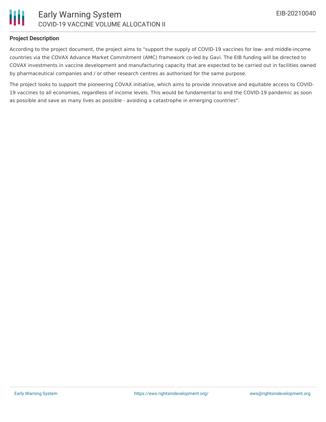

### **Project Description**

According to the project document, the project aims to "support the supply of COVID-19 vaccines for low- and middle-income countries via the COVAX Advance Market Commitment (AMC) framework co-led by Gavi. The EIB funding will be directed to COVAX investments in vaccine development and manufacturing capacity that are expected to be carried out in facilities owned by pharmaceutical companies and / or other research centres as authorised for the same purpose.

The project looks to support the pioneering COVAX initiative, which aims to provide innovative and equitable access to COVID-19 vaccines to all economies, regardless of income levels. This would be fundamental to end the COVID-19 pandemic as soon as possible and save as many lives as possible - avoiding a catastrophe in emerging countries".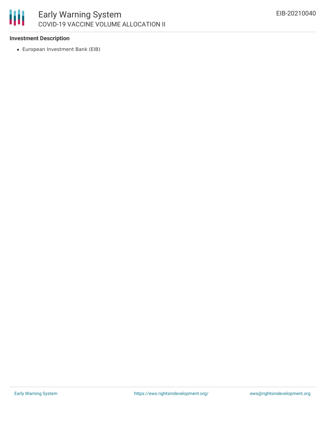

### **Investment Description**

European Investment Bank (EIB)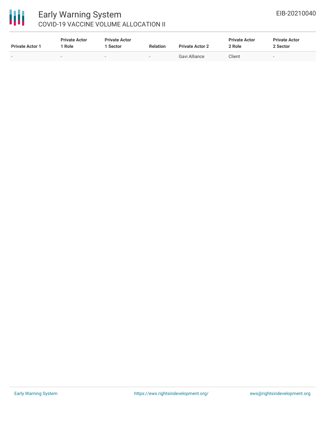# 冊

### Early Warning System COVID-19 VACCINE VOLUME ALLOCATION II

| <b>Private Actor 1</b> | <b>Private Actor</b><br><b>Role</b> | <b>Private Actor</b><br>l Sector | <b>Relation</b>          | <b>Private Actor 2</b> | <b>Private Actor</b><br>2 Role | <b>Private Actor</b><br>2 Sector |
|------------------------|-------------------------------------|----------------------------------|--------------------------|------------------------|--------------------------------|----------------------------------|
| $\sim$                 |                                     | $\sim$                           | $\overline{\phantom{0}}$ | Gavi Alliance          | Client                         |                                  |